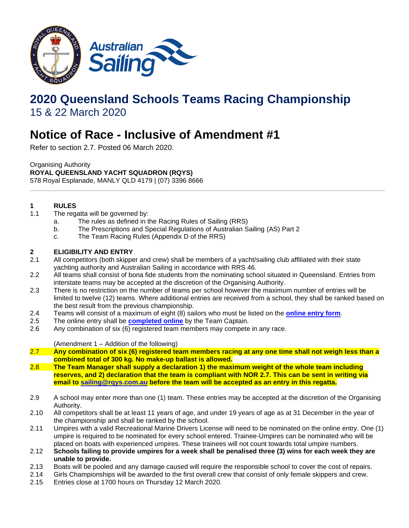

## **2020 Queensland Schools Teams Racing Championship** 15 & 22 March 2020

## **Notice of Race - Inclusive of Amendment #1**

Refer to section 2.7. Posted 06 March 2020.

Organising Authority **ROYAL QUEENSLAND YACHT SQUADRON (RQYS)** 578 Royal Esplanade, MANLY QLD 4179 | (07) 3396 8666

## **1 RULES**

- 1.1 The regatta will be governed by:
	- a. The rules as defined in the Racing Rules of Sailing (RRS)
	- b. The Prescriptions and Special Regulations of Australian Sailing (AS) Part 2
	- c. The Team Racing Rules (Appendix D of the RRS)

## **2 ELIGIBILITY AND ENTRY**

- 2.1 All competitors (both skipper and crew) shall be members of a yacht/sailing club affiliated with their state yachting authority and Australian Sailing in accordance with RRS 46.
- 2.2 All teams shall consist of bona fide students from the nominating school situated in Queensland. Entries from interstate teams may be accepted at the discretion of the Organising Authority.
- 2.3 There is no restriction on the number of teams per school however the maximum number of entries will be limited to twelve (12) teams. Where additional entries are received from a school, they shall be ranked based on the best result from the previous championship.
- 2.4 Teams will consist of a maximum of eight (8) sailors who must be listed on the **[online entry form](https://www.revolutionise.com.au/rqys/events/62157/)**.
- 2.5 The online entry shall be **[completed online](https://www.revolutionise.com.au/rqys/events/62157/)** by the Team Captain.
- 2.6 Any combination of six (6) registered team members may compete in any race.

## (Amendment 1 – Addition of the following)

- 2.7 **Any combination of six (6) registered team members racing at any one time shall not weigh less than a combined total of 300 kg. No make-up ballast is allowed.**
- 2.8 **The Team Manager shall supply a declaration 1) the maximum weight of the whole team including reserves, and 2) declaration that the team is compliant with NOR 2.7. This can be sent in writing via email to [sailing@rqys.com.au](mailto:sailing@rqys.com.au) before the team will be accepted as an entry in this regatta.**
- 2.9 A school may enter more than one (1) team. These entries may be accepted at the discretion of the Organising Authority.
- 2.10 All competitors shall be at least 11 years of age, and under 19 years of age as at 31 December in the year of the championship and shall be ranked by the school.
- 2.11 Umpires with a valid Recreational Marine Drivers License will need to be nominated on the online entry. One (1) umpire is required to be nominated for every school entered. Trainee-Umpires can be nominated who will be placed on boats with experienced umpires. These trainees will not count towards total umpire numbers.
- 2.12 **Schools failing to provide umpires for a week shall be penalised three (3) wins for each week they are unable to provide.**
- 2.13 Boats will be pooled and any damage caused will require the responsible school to cover the cost of repairs.
- 2.14 Girls Championships will be awarded to the first overall crew that consist of only female skippers and crew.
- 2.15 Entries close at 1700 hours on Thursday 12 March 2020.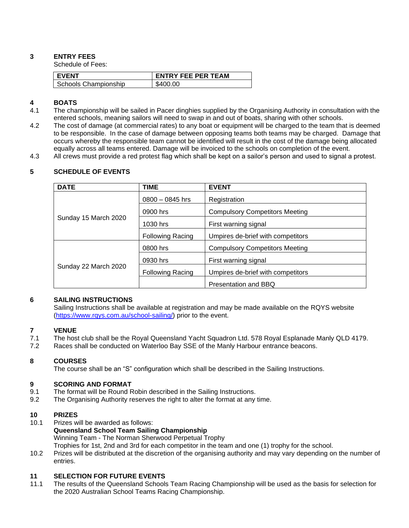## **3 ENTRY FEES**

Schedule of Fees:

| <b>EVENT</b>           | <b>ENTRY FEE PER TEAM</b> |
|------------------------|---------------------------|
| l Schools Championship | \$400.00                  |

# **4 BOATS**

- The championship will be sailed in Pacer dinghies supplied by the Organising Authority in consultation with the entered schools, meaning sailors will need to swap in and out of boats, sharing with other schools.
- 4.2 The cost of damage (at commercial rates) to any boat or equipment will be charged to the team that is deemed to be responsible. In the case of damage between opposing teams both teams may be charged. Damage that occurs whereby the responsible team cannot be identified will result in the cost of the damage being allocated equally across all teams entered. Damage will be invoiced to the schools on completion of the event.
- 4.3 All crews must provide a red protest flag which shall be kept on a sailor's person and used to signal a protest.

## **5 SCHEDULE OF EVENTS**

| <b>DATE</b>          | TIME                    | <b>EVENT</b>                          |
|----------------------|-------------------------|---------------------------------------|
| Sunday 15 March 2020 | $0800 - 0845$ hrs       | Registration                          |
|                      | 0900 hrs                | <b>Compulsory Competitors Meeting</b> |
|                      | 1030 hrs                | First warning signal                  |
|                      | <b>Following Racing</b> | Umpires de-brief with competitors     |
| Sunday 22 March 2020 | 0800 hrs                | <b>Compulsory Competitors Meeting</b> |
|                      | 0930 hrs                | First warning signal                  |
|                      | <b>Following Racing</b> | Umpires de-brief with competitors     |
|                      |                         | Presentation and BBQ                  |

#### **6 SAILING INSTRUCTIONS**

Sailing Instructions shall be available at registration and may be made available on the RQYS website [\(https://www.rqys.com.au/school-sailing/\)](https://www.rqys.com.au/school-sailing/) prior to the event.

#### **7 VENUE**

- 7.1 The host club shall be the Royal Queensland Yacht Squadron Ltd. 578 Royal Esplanade Manly QLD 4179.
- 7.2 Races shall be conducted on Waterloo Bay SSE of the Manly Harbour entrance beacons.

## **8 COURSES**

The course shall be an "S" configuration which shall be described in the Sailing Instructions.

## **9 SCORING AND FORMAT**

- 9.1 The format will be Round Robin described in the Sailing Instructions.
- 9.2 The Organising Authority reserves the right to alter the format at any time.

## **10 PRIZES**

- 10.1 Prizes will be awarded as follows: **Queensland School Team Sailing Championship** Winning Team - The Norman Sherwood Perpetual Trophy Trophies for 1st, 2nd and 3rd for each competitor in the team and one (1) trophy for the school.
- 10.2 Prizes will be distributed at the discretion of the organising authority and may vary depending on the number of entries.

## **11 SELECTION FOR FUTURE EVENTS**

11.1 The results of the Queensland Schools Team Racing Championship will be used as the basis for selection for the 2020 Australian School Teams Racing Championship.